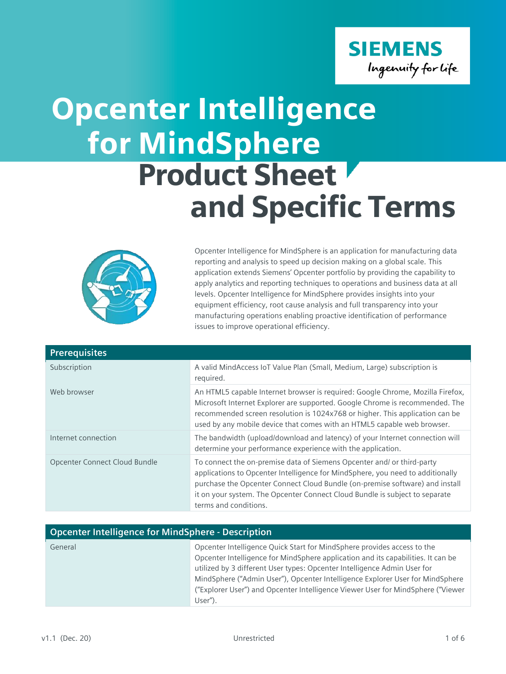

## for MindSphere Product Sheet and Specific Terms Opcenter Intelligence



Opcenter Intelligence for MindSphere is an application for manufacturing data reporting and analysis to speed up decision making on a global scale. This application extends Siemens' Opcenter portfolio by providing the capability to apply analytics and reporting techniques to operations and business data at all levels. Opcenter Intelligence for MindSphere provides insights into your equipment efficiency, root cause analysis and full transparency into your manufacturing operations enabling proactive identification of performance issues to improve operational efficiency.

| <b>Prerequisites</b>          |                                                                                                                                                                                                                                                                                                                                                  |
|-------------------------------|--------------------------------------------------------------------------------------------------------------------------------------------------------------------------------------------------------------------------------------------------------------------------------------------------------------------------------------------------|
| Subscription                  | A valid MindAccess IoT Value Plan (Small, Medium, Large) subscription is<br>required.                                                                                                                                                                                                                                                            |
| Web browser                   | An HTML5 capable Internet browser is required: Google Chrome, Mozilla Firefox,<br>Microsoft Internet Explorer are supported. Google Chrome is recommended. The<br>recommended screen resolution is 1024x768 or higher. This application can be<br>used by any mobile device that comes with an HTML5 capable web browser.                        |
| Internet connection           | The bandwidth (upload/download and latency) of your Internet connection will<br>determine your performance experience with the application.                                                                                                                                                                                                      |
| Opcenter Connect Cloud Bundle | To connect the on-premise data of Siemens Opcenter and/ or third-party<br>applications to Opcenter Intelligence for MindSphere, you need to additionally<br>purchase the Opcenter Connect Cloud Bundle (on-premise software) and install<br>it on your system. The Opcenter Connect Cloud Bundle is subject to separate<br>terms and conditions. |

| <b>Opcenter Intelligence for MindSphere - Description</b> |                                                                                  |
|-----------------------------------------------------------|----------------------------------------------------------------------------------|
| General                                                   | Opcenter Intelligence Quick Start for MindSphere provides access to the          |
|                                                           | Opcenter Intelligence for MindSphere application and its capabilities. It can be |
|                                                           | utilized by 3 different User types: Opcenter Intelligence Admin User for         |
|                                                           | MindSphere ("Admin User"), Opcenter Intelligence Explorer User for MindSphere    |
|                                                           | ("Explorer User") and Opcenter Intelligence Viewer User for MindSphere ("Viewer  |
|                                                           | User").                                                                          |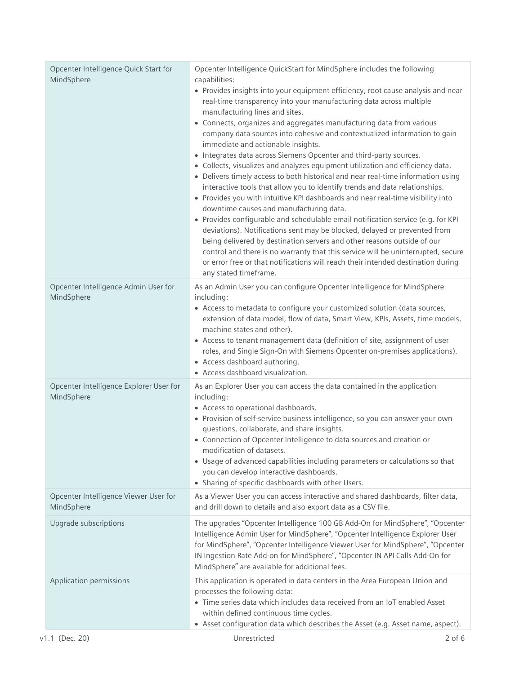| Opcenter Intelligence Quick Start for<br>MindSphere   | Opcenter Intelligence QuickStart for MindSphere includes the following<br>capabilities:                                                                                                                                                                                                                                              |
|-------------------------------------------------------|--------------------------------------------------------------------------------------------------------------------------------------------------------------------------------------------------------------------------------------------------------------------------------------------------------------------------------------|
|                                                       | • Provides insights into your equipment efficiency, root cause analysis and near<br>real-time transparency into your manufacturing data across multiple                                                                                                                                                                              |
|                                                       | manufacturing lines and sites.                                                                                                                                                                                                                                                                                                       |
|                                                       | • Connects, organizes and aggregates manufacturing data from various<br>company data sources into cohesive and contextualized information to gain                                                                                                                                                                                    |
|                                                       | immediate and actionable insights.                                                                                                                                                                                                                                                                                                   |
|                                                       | • Integrates data across Siemens Opcenter and third-party sources.                                                                                                                                                                                                                                                                   |
|                                                       | • Collects, visualizes and analyzes equipment utilization and efficiency data.<br>• Delivers timely access to both historical and near real-time information using<br>interactive tools that allow you to identify trends and data relationships.<br>• Provides you with intuitive KPI dashboards and near real-time visibility into |
|                                                       | downtime causes and manufacturing data.                                                                                                                                                                                                                                                                                              |
|                                                       | • Provides configurable and schedulable email notification service (e.g. for KPI                                                                                                                                                                                                                                                     |
|                                                       | deviations). Notifications sent may be blocked, delayed or prevented from                                                                                                                                                                                                                                                            |
|                                                       | being delivered by destination servers and other reasons outside of our                                                                                                                                                                                                                                                              |
|                                                       | control and there is no warranty that this service will be uninterrupted, secure                                                                                                                                                                                                                                                     |
|                                                       | or error free or that notifications will reach their intended destination during                                                                                                                                                                                                                                                     |
|                                                       | any stated timeframe.                                                                                                                                                                                                                                                                                                                |
| Opcenter Intelligence Admin User for<br>MindSphere    | As an Admin User you can configure Opcenter Intelligence for MindSphere<br>including:                                                                                                                                                                                                                                                |
|                                                       | • Access to metadata to configure your customized solution (data sources,                                                                                                                                                                                                                                                            |
|                                                       | extension of data model, flow of data, Smart View, KPIs, Assets, time models,                                                                                                                                                                                                                                                        |
|                                                       | machine states and other).                                                                                                                                                                                                                                                                                                           |
|                                                       | • Access to tenant management data (definition of site, assignment of user<br>roles, and Single Sign-On with Siemens Opcenter on-premises applications).                                                                                                                                                                             |
|                                                       | • Access dashboard authoring.                                                                                                                                                                                                                                                                                                        |
|                                                       | • Access dashboard visualization.                                                                                                                                                                                                                                                                                                    |
| Opcenter Intelligence Explorer User for<br>MindSphere | As an Explorer User you can access the data contained in the application<br>including:                                                                                                                                                                                                                                               |
|                                                       | • Access to operational dashboards.                                                                                                                                                                                                                                                                                                  |
|                                                       | • Provision of self-service business intelligence, so you can answer your own                                                                                                                                                                                                                                                        |
|                                                       | questions, collaborate, and share insights.                                                                                                                                                                                                                                                                                          |
|                                                       | • Connection of Opcenter Intelligence to data sources and creation or                                                                                                                                                                                                                                                                |
|                                                       | modification of datasets.                                                                                                                                                                                                                                                                                                            |
|                                                       | • Usage of advanced capabilities including parameters or calculations so that<br>you can develop interactive dashboards.                                                                                                                                                                                                             |
|                                                       | • Sharing of specific dashboards with other Users.                                                                                                                                                                                                                                                                                   |
|                                                       |                                                                                                                                                                                                                                                                                                                                      |
| Opcenter Intelligence Viewer User for<br>MindSphere   | As a Viewer User you can access interactive and shared dashboards, filter data,<br>and drill down to details and also export data as a CSV file.                                                                                                                                                                                     |
|                                                       |                                                                                                                                                                                                                                                                                                                                      |
| Upgrade subscriptions                                 | The upgrades "Opcenter Intelligence 100 GB Add-On for MindSphere", "Opcenter                                                                                                                                                                                                                                                         |
|                                                       | Intelligence Admin User for MindSphere", "Opcenter Intelligence Explorer User<br>for MindSphere", "Opcenter Intelligence Viewer User for MindSphere", "Opcenter                                                                                                                                                                      |
|                                                       | IN Ingestion Rate Add-on for MindSphere", "Opcenter IN API Calls Add-On for                                                                                                                                                                                                                                                          |
|                                                       | MindSphere" are available for additional fees.                                                                                                                                                                                                                                                                                       |
| Application permissions                               | This application is operated in data centers in the Area European Union and                                                                                                                                                                                                                                                          |
|                                                       | processes the following data:                                                                                                                                                                                                                                                                                                        |
|                                                       | • Time series data which includes data received from an IoT enabled Asset                                                                                                                                                                                                                                                            |
|                                                       | within defined continuous time cycles.                                                                                                                                                                                                                                                                                               |
|                                                       | • Asset configuration data which describes the Asset (e.g. Asset name, aspect).                                                                                                                                                                                                                                                      |
| v1.1 (Dec. 20)                                        | Unrestricted<br>$2$ of 6                                                                                                                                                                                                                                                                                                             |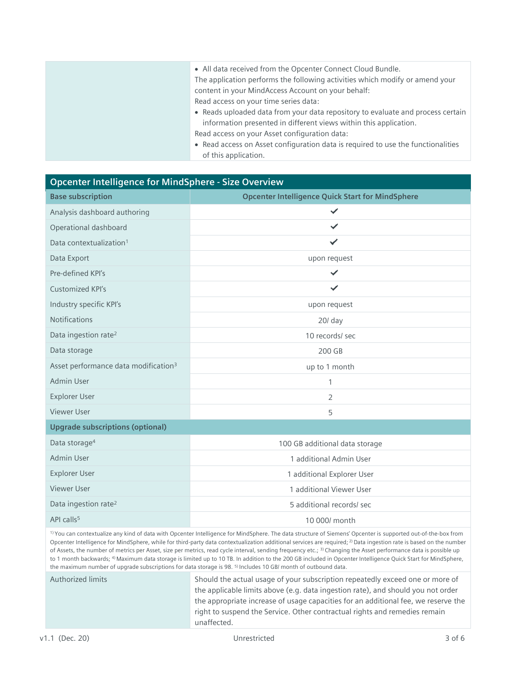| • All data received from the Opcenter Connect Cloud Bundle.<br>The application performs the following activities which modify or amend your<br>content in your MindAccess Account on your behalf: |
|---------------------------------------------------------------------------------------------------------------------------------------------------------------------------------------------------|
| Read access on your time series data:                                                                                                                                                             |
| • Reads uploaded data from your data repository to evaluate and process certain                                                                                                                   |
| information presented in different views within this application.                                                                                                                                 |
| Read access on your Asset configuration data:                                                                                                                                                     |
| • Read access on Asset configuration data is required to use the functionalities                                                                                                                  |
| of this application.                                                                                                                                                                              |

## **Opcenter Intelligence for MindSphere - Size Overview**

| <b>Base subscription</b>                                                                | <b>Opcenter Intelligence Quick Start for MindSphere</b>                                                                         |
|-----------------------------------------------------------------------------------------|---------------------------------------------------------------------------------------------------------------------------------|
| Analysis dashboard authoring                                                            | $\checkmark$                                                                                                                    |
| Operational dashboard                                                                   | ✓                                                                                                                               |
| Data contextualization <sup>1</sup>                                                     | ✓                                                                                                                               |
| Data Export                                                                             | upon request                                                                                                                    |
| Pre-defined KPI's                                                                       | $\checkmark$                                                                                                                    |
| Customized KPI's                                                                        | ✓                                                                                                                               |
| Industry specific KPI's                                                                 | upon request                                                                                                                    |
| <b>Notifications</b>                                                                    | 20/ day                                                                                                                         |
| Data ingestion rate <sup>2</sup>                                                        | 10 records/ sec                                                                                                                 |
| Data storage                                                                            | 200 GB                                                                                                                          |
| Asset performance data modification <sup>3</sup>                                        | up to 1 month                                                                                                                   |
| <b>Admin User</b>                                                                       | 1                                                                                                                               |
| <b>Explorer User</b>                                                                    | $\overline{2}$                                                                                                                  |
| <b>Viewer User</b>                                                                      | 5                                                                                                                               |
| <b>Upgrade subscriptions (optional)</b>                                                 |                                                                                                                                 |
| Data storage <sup>4</sup>                                                               | 100 GB additional data storage                                                                                                  |
| <b>Admin User</b>                                                                       | 1 additional Admin User                                                                                                         |
| <b>Explorer User</b>                                                                    | 1 additional Explorer User                                                                                                      |
| <b>Viewer User</b>                                                                      | 1 additional Viewer User                                                                                                        |
| Data ingestion rate <sup>2</sup>                                                        | 5 additional records/ sec                                                                                                       |
| API calls <sup>5</sup>                                                                  | 10 000/ month                                                                                                                   |
| $\mathbf{r}$ , $\mathbf{r}$ , $\mathbf{r}$ , $\mathbf{r}$ , $\mathbf{r}$ , $\mathbf{r}$ | and the state of<br>a contractor of the contractor<br>$\mathcal{L} = \mathcal{L} = \mathcal{L} = \mathcal{L}$<br><b>Service</b> |

1) You can contextualize any kind of data with Opcenter Intelligence for MindSphere. The data structure of Siemens' Opcenter is supported out-of-the-box from Opcenter Intelligence for MindSphere, while for third-party data contextualization additional services are required; <sup>2)</sup> Data ingestion rate is based on the number of Assets, the number of metrics per Asset, size per metrics, read cycle interval, sending frequency etc.; 3) Changing the Asset performance data is possible up to 1 month backwards; <sup>4)</sup> Maximum data storage is limited up to 10 TB. In addition to the 200 GB included in Opcenter Intelligence Quick Start for MindSphere, the maximum number of upgrade subscriptions for data storage is 98. 5) Includes 10 GB/ month of outbound data.

Authorized limits Should the actual usage of your subscription repeatedly exceed one or more of the applicable limits above (e.g. data ingestion rate), and should you not order the appropriate increase of usage capacities for an additional fee, we reserve the right to suspend the Service. Other contractual rights and remedies remain unaffected.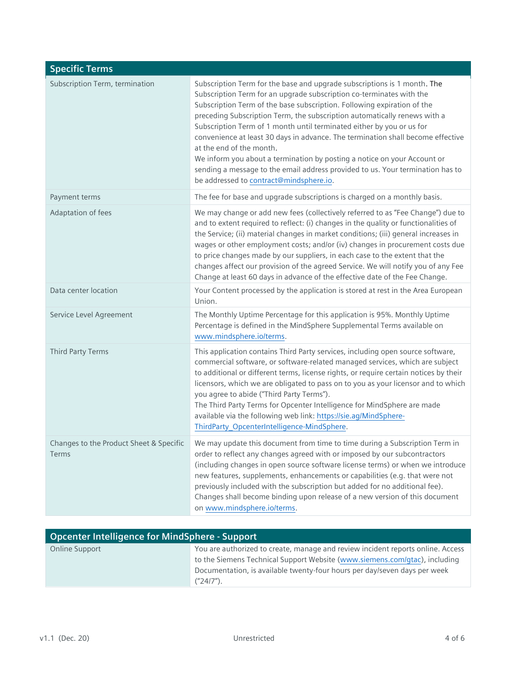| <b>Specific Terms</b>                                   |                                                                                                                                                                                                                                                                                                                                                                                                                                                                                                                                                                                                                                                                                                           |
|---------------------------------------------------------|-----------------------------------------------------------------------------------------------------------------------------------------------------------------------------------------------------------------------------------------------------------------------------------------------------------------------------------------------------------------------------------------------------------------------------------------------------------------------------------------------------------------------------------------------------------------------------------------------------------------------------------------------------------------------------------------------------------|
| Subscription Term, termination                          | Subscription Term for the base and upgrade subscriptions is 1 month. The<br>Subscription Term for an upgrade subscription co-terminates with the<br>Subscription Term of the base subscription. Following expiration of the<br>preceding Subscription Term, the subscription automatically renews with a<br>Subscription Term of 1 month until terminated either by you or us for<br>convenience at least 30 days in advance. The termination shall become effective<br>at the end of the month.<br>We inform you about a termination by posting a notice on your Account or<br>sending a message to the email address provided to us. Your termination has to<br>be addressed to contract@mindsphere.io. |
| Payment terms                                           | The fee for base and upgrade subscriptions is charged on a monthly basis.                                                                                                                                                                                                                                                                                                                                                                                                                                                                                                                                                                                                                                 |
| Adaptation of fees                                      | We may change or add new fees (collectively referred to as "Fee Change") due to<br>and to extent required to reflect: (i) changes in the quality or functionalities of<br>the Service; (ii) material changes in market conditions; (iii) general increases in<br>wages or other employment costs; and/or (iv) changes in procurement costs due<br>to price changes made by our suppliers, in each case to the extent that the<br>changes affect our provision of the agreed Service. We will notify you of any Fee<br>Change at least 60 days in advance of the effective date of the Fee Change.                                                                                                         |
| Data center location                                    | Your Content processed by the application is stored at rest in the Area European<br>Union.                                                                                                                                                                                                                                                                                                                                                                                                                                                                                                                                                                                                                |
| Service Level Agreement                                 | The Monthly Uptime Percentage for this application is 95%. Monthly Uptime<br>Percentage is defined in the MindSphere Supplemental Terms available on<br>www.mindsphere.io/terms.                                                                                                                                                                                                                                                                                                                                                                                                                                                                                                                          |
| Third Party Terms                                       | This application contains Third Party services, including open source software,<br>commercial software, or software-related managed services, which are subject<br>to additional or different terms, license rights, or require certain notices by their<br>licensors, which we are obligated to pass on to you as your licensor and to which<br>you agree to abide ("Third Party Terms").<br>The Third Party Terms for Opcenter Intelligence for MindSphere are made<br>available via the following web link: https://sie.ag/MindSphere-<br>ThirdParty_OpcenterIntelligence-MindSphere.                                                                                                                  |
| Changes to the Product Sheet & Specific<br><b>Terms</b> | We may update this document from time to time during a Subscription Term in<br>order to reflect any changes agreed with or imposed by our subcontractors<br>(including changes in open source software license terms) or when we introduce<br>new features, supplements, enhancements or capabilities (e.g. that were not<br>previously included with the subscription but added for no additional fee).<br>Changes shall become binding upon release of a new version of this document<br>on www.mindsphere.io/terms.                                                                                                                                                                                    |

| <b>Opcenter Intelligence for MindSphere - Support</b>                                                                                                                                                                                                       |  |
|-------------------------------------------------------------------------------------------------------------------------------------------------------------------------------------------------------------------------------------------------------------|--|
| You are authorized to create, manage and review incident reports online. Access<br>to the Siemens Technical Support Website (www.siemens.com/gtac), including<br>Documentation, is available twenty-four hours per day/seven days per week<br>$('24/7'')$ . |  |
|                                                                                                                                                                                                                                                             |  |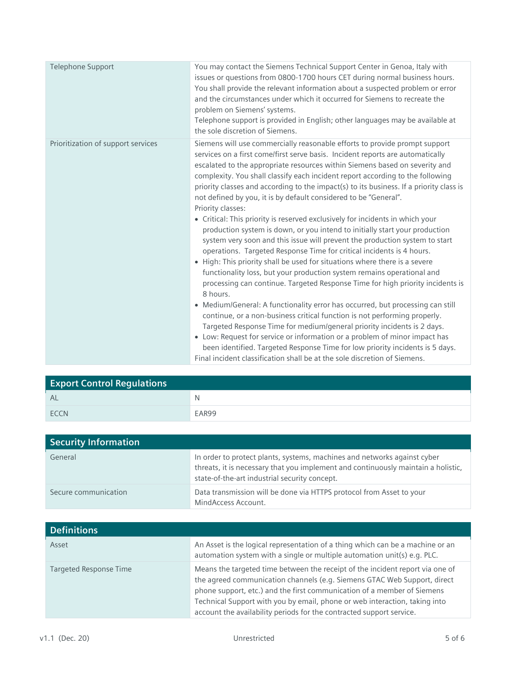| Telephone Support                  | You may contact the Siemens Technical Support Center in Genoa, Italy with<br>issues or questions from 0800-1700 hours CET during normal business hours.<br>You shall provide the relevant information about a suspected problem or error<br>and the circumstances under which it occurred for Siemens to recreate the<br>problem on Siemens' systems.<br>Telephone support is provided in English; other languages may be available at                                                                                                                                                                                                                                                                                                                                                                                                                                                                                                                                                                                                                                                                                                                                                                                                                                                                                                                                                                                                                                                                  |
|------------------------------------|---------------------------------------------------------------------------------------------------------------------------------------------------------------------------------------------------------------------------------------------------------------------------------------------------------------------------------------------------------------------------------------------------------------------------------------------------------------------------------------------------------------------------------------------------------------------------------------------------------------------------------------------------------------------------------------------------------------------------------------------------------------------------------------------------------------------------------------------------------------------------------------------------------------------------------------------------------------------------------------------------------------------------------------------------------------------------------------------------------------------------------------------------------------------------------------------------------------------------------------------------------------------------------------------------------------------------------------------------------------------------------------------------------------------------------------------------------------------------------------------------------|
| Prioritization of support services | the sole discretion of Siemens.<br>Siemens will use commercially reasonable efforts to provide prompt support                                                                                                                                                                                                                                                                                                                                                                                                                                                                                                                                                                                                                                                                                                                                                                                                                                                                                                                                                                                                                                                                                                                                                                                                                                                                                                                                                                                           |
|                                    | services on a first come/first serve basis. Incident reports are automatically<br>escalated to the appropriate resources within Siemens based on severity and<br>complexity. You shall classify each incident report according to the following<br>priority classes and according to the impact(s) to its business. If a priority class is<br>not defined by you, it is by default considered to be "General".<br>Priority classes:<br>• Critical: This priority is reserved exclusively for incidents in which your<br>production system is down, or you intend to initially start your production<br>system very soon and this issue will prevent the production system to start<br>operations. Targeted Response Time for critical incidents is 4 hours.<br>• High: This priority shall be used for situations where there is a severe<br>functionality loss, but your production system remains operational and<br>processing can continue. Targeted Response Time for high priority incidents is<br>8 hours.<br>• Medium/General: A functionality error has occurred, but processing can still<br>continue, or a non-business critical function is not performing properly.<br>Targeted Response Time for medium/general priority incidents is 2 days.<br>• Low: Request for service or information or a problem of minor impact has<br>been identified. Targeted Response Time for low priority incidents is 5 days.<br>Final incident classification shall be at the sole discretion of Siemens. |

| <b>Export Control Regulations</b> |       |
|-----------------------------------|-------|
| - AL                              | N     |
| <b>FCCN</b>                       | EAR99 |

| <b>Security Information</b> |                                                                                                                                                                                                                |
|-----------------------------|----------------------------------------------------------------------------------------------------------------------------------------------------------------------------------------------------------------|
| General                     | In order to protect plants, systems, machines and networks against cyber<br>threats, it is necessary that you implement and continuously maintain a holistic,<br>state-of-the-art industrial security concept. |
| Secure communication        | Data transmission will be done via HTTPS protocol from Asset to your<br>MindAccess Account.                                                                                                                    |

| <b>Definitions</b>            |                                                                                                                                                                                                                                                                                                                                                                                            |
|-------------------------------|--------------------------------------------------------------------------------------------------------------------------------------------------------------------------------------------------------------------------------------------------------------------------------------------------------------------------------------------------------------------------------------------|
| Asset                         | An Asset is the logical representation of a thing which can be a machine or an<br>automation system with a single or multiple automation unit(s) e.g. PLC.                                                                                                                                                                                                                                 |
| <b>Targeted Response Time</b> | Means the targeted time between the receipt of the incident report via one of<br>the agreed communication channels (e.g. Siemens GTAC Web Support, direct<br>phone support, etc.) and the first communication of a member of Siemens<br>Technical Support with you by email, phone or web interaction, taking into<br>account the availability periods for the contracted support service. |